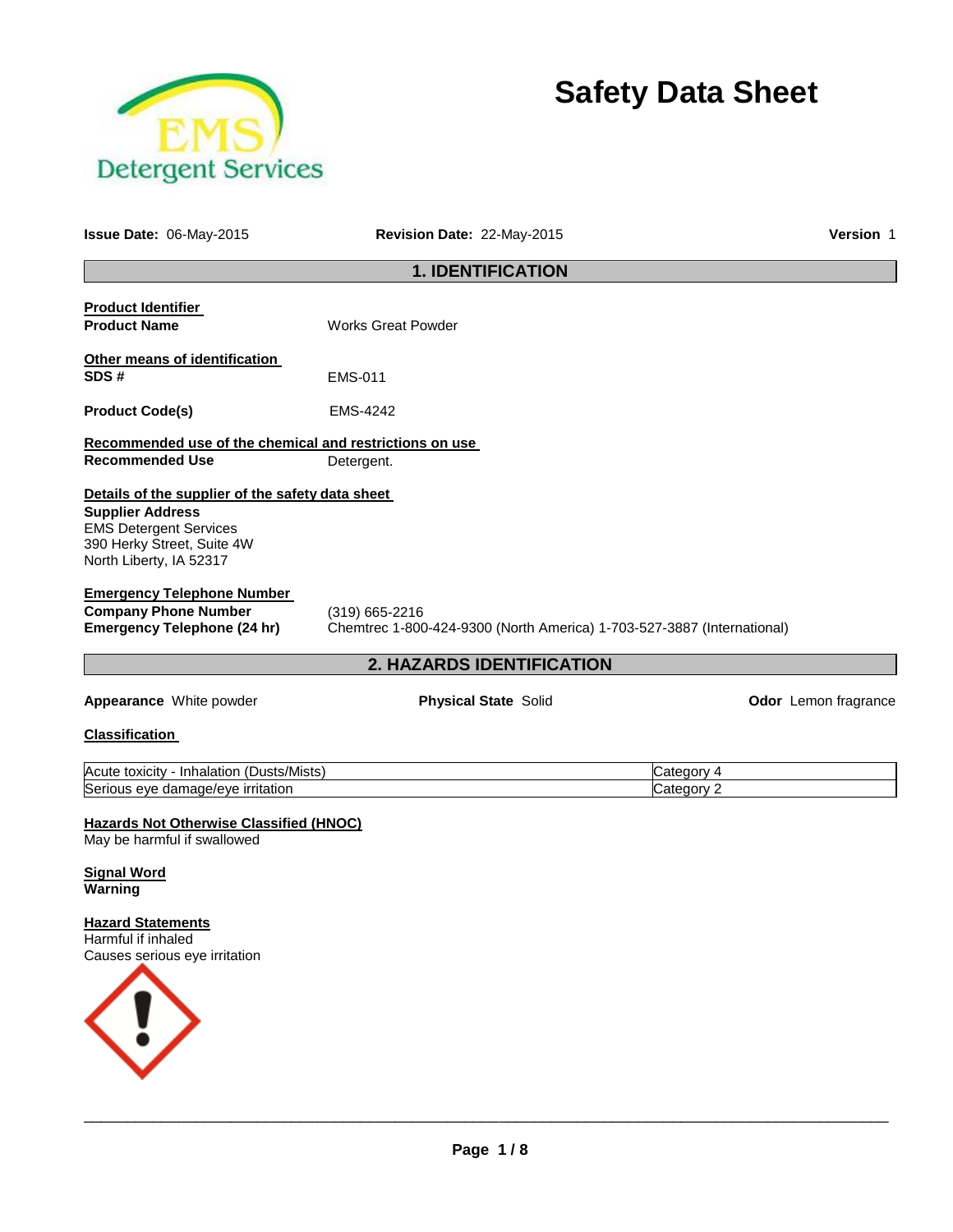

# **Safety Data Sheet**

| Issue Date: 06-May-2015                                                                                                                                               | Revision Date: 22-May-2015                                                                 | Version 1                |
|-----------------------------------------------------------------------------------------------------------------------------------------------------------------------|--------------------------------------------------------------------------------------------|--------------------------|
|                                                                                                                                                                       | <b>1. IDENTIFICATION</b>                                                                   |                          |
| <b>Product Identifier</b><br><b>Product Name</b>                                                                                                                      | <b>Works Great Powder</b>                                                                  |                          |
| Other means of identification<br>SDS#                                                                                                                                 | EMS-011                                                                                    |                          |
| <b>Product Code(s)</b>                                                                                                                                                | EMS-4242                                                                                   |                          |
| Recommended use of the chemical and restrictions on use<br><b>Recommended Use</b>                                                                                     | Detergent.                                                                                 |                          |
| Details of the supplier of the safety data sheet<br><b>Supplier Address</b><br><b>EMS Detergent Services</b><br>390 Herky Street, Suite 4W<br>North Liberty, IA 52317 |                                                                                            |                          |
| <b>Emergency Telephone Number</b><br><b>Company Phone Number</b><br><b>Emergency Telephone (24 hr)</b>                                                                | $(319)$ 665-2216<br>Chemtrec 1-800-424-9300 (North America) 1-703-527-3887 (International) |                          |
|                                                                                                                                                                       | 2. HAZARDS IDENTIFICATION                                                                  |                          |
| Appearance White powder                                                                                                                                               | <b>Physical State Solid</b>                                                                | Odor Lemon fragrance     |
| <b>Classification</b>                                                                                                                                                 |                                                                                            |                          |
| Acute toxicity - Inhalation (Dusts/Mists)<br>Serious eye damage/eye irritation                                                                                        |                                                                                            | Category 4<br>Category 2 |
| <b>Hazards Not Otherwise Classified (HNOC)</b><br>May be harmful if swallowed                                                                                         |                                                                                            |                          |
| <b>Signal Word</b><br>Warning                                                                                                                                         |                                                                                            |                          |
| <b>Hazard Statements</b><br>Harmful if inhaled<br>Causes serious eye irritation                                                                                       |                                                                                            |                          |
|                                                                                                                                                                       |                                                                                            |                          |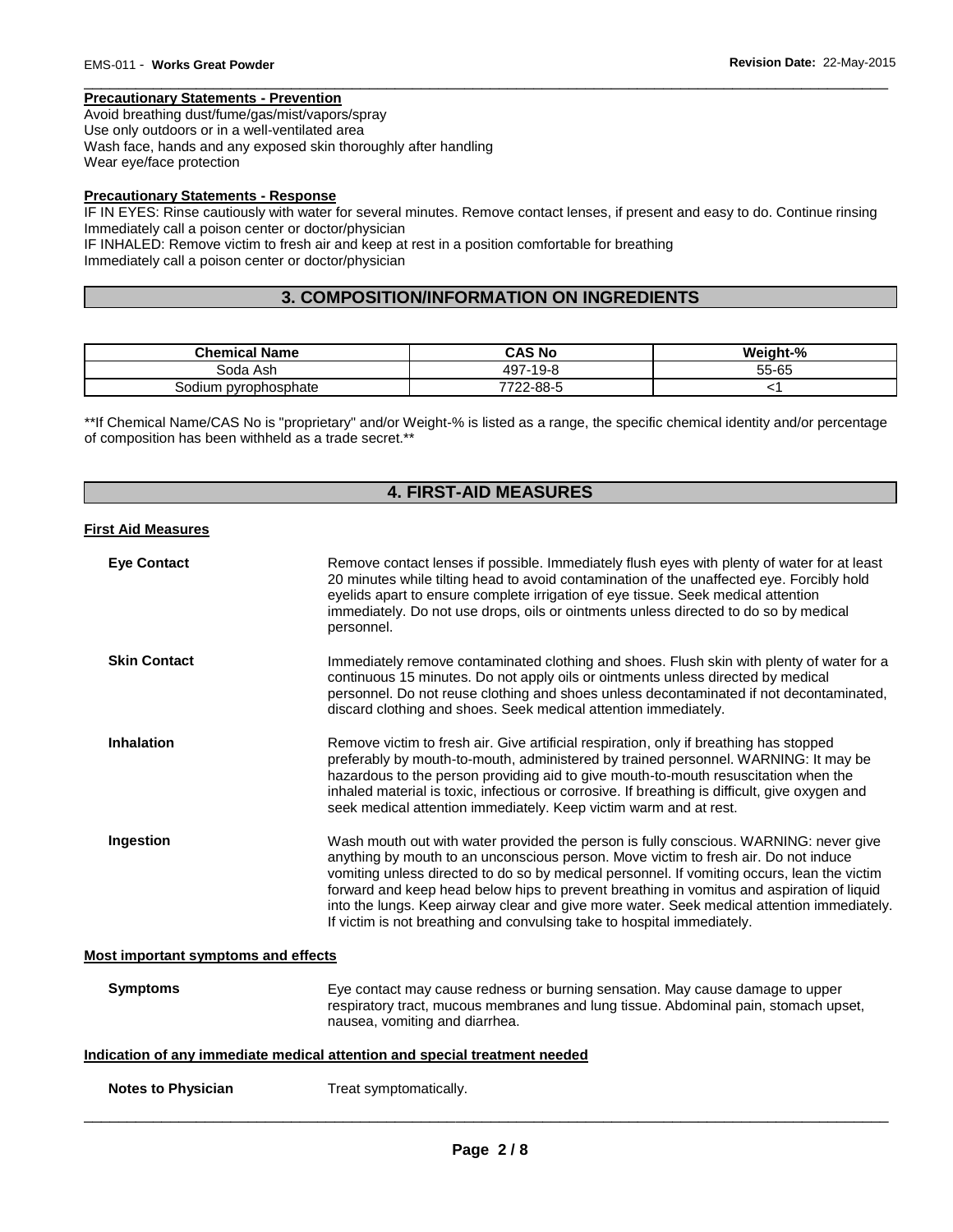# **Precautionary Statements - Prevention**

Avoid breathing dust/fume/gas/mist/vapors/spray Use only outdoors or in a well-ventilated area Wash face, hands and any exposed skin thoroughly after handling Wear eye/face protection

# **Precautionary Statements - Response**

IF IN EYES: Rinse cautiously with water for several minutes. Remove contact lenses, if present and easy to do. Continue rinsing Immediately call a poison center or doctor/physician

\_\_\_\_\_\_\_\_\_\_\_\_\_\_\_\_\_\_\_\_\_\_\_\_\_\_\_\_\_\_\_\_\_\_\_\_\_\_\_\_\_\_\_\_\_\_\_\_\_\_\_\_\_\_\_\_\_\_\_\_\_\_\_\_\_\_\_\_\_\_\_\_\_\_\_\_\_\_\_\_\_\_\_\_\_\_\_\_\_\_\_\_\_

IF INHALED: Remove victim to fresh air and keep at rest in a position comfortable for breathing Immediately call a poison center or doctor/physician

# **3. COMPOSITION/INFORMATION ON INGREDIENTS**

| <b>Chemical Name</b>      | CAS No        | Weight-% |
|---------------------------|---------------|----------|
| Soda Ash                  | 497.<br>-19-8 | 55-65    |
| i pyrophosphate<br>30dium | 7722-88-5     |          |

\*\*If Chemical Name/CAS No is "proprietary" and/or Weight-% is listed as a range, the specific chemical identity and/or percentage of composition has been withheld as a trade secret.\*\*

# **4. FIRST-AID MEASURES**

#### **First Aid Measures**

| <b>Eye Contact</b>                         | Remove contact lenses if possible. Immediately flush eyes with plenty of water for at least<br>20 minutes while tilting head to avoid contamination of the unaffected eye. Forcibly hold<br>eyelids apart to ensure complete irrigation of eye tissue. Seek medical attention<br>immediately. Do not use drops, oils or ointments unless directed to do so by medical<br>personnel.                                                                                                                                                               |
|--------------------------------------------|---------------------------------------------------------------------------------------------------------------------------------------------------------------------------------------------------------------------------------------------------------------------------------------------------------------------------------------------------------------------------------------------------------------------------------------------------------------------------------------------------------------------------------------------------|
| <b>Skin Contact</b>                        | Immediately remove contaminated clothing and shoes. Flush skin with plenty of water for a<br>continuous 15 minutes. Do not apply oils or ointments unless directed by medical<br>personnel. Do not reuse clothing and shoes unless decontaminated if not decontaminated,<br>discard clothing and shoes. Seek medical attention immediately.                                                                                                                                                                                                       |
| <b>Inhalation</b>                          | Remove victim to fresh air. Give artificial respiration, only if breathing has stopped<br>preferably by mouth-to-mouth, administered by trained personnel. WARNING: It may be<br>hazardous to the person providing aid to give mouth-to-mouth resuscitation when the<br>inhaled material is toxic, infectious or corrosive. If breathing is difficult, give oxygen and<br>seek medical attention immediately. Keep victim warm and at rest.                                                                                                       |
| Ingestion                                  | Wash mouth out with water provided the person is fully conscious. WARNING: never give<br>anything by mouth to an unconscious person. Move victim to fresh air. Do not induce<br>vomiting unless directed to do so by medical personnel. If vomiting occurs, lean the victim<br>forward and keep head below hips to prevent breathing in vomitus and aspiration of liquid<br>into the lungs. Keep airway clear and give more water. Seek medical attention immediately.<br>If victim is not breathing and convulsing take to hospital immediately. |
| <b>Most important symptoms and effects</b> |                                                                                                                                                                                                                                                                                                                                                                                                                                                                                                                                                   |
| <b>Symptoms</b>                            | Eye contact may cause redness or burning sensation. May cause damage to upper<br>respiratory tract, mucous membranes and lung tissue. Abdominal pain, stomach upset,<br>nausea, vomiting and diarrhea.                                                                                                                                                                                                                                                                                                                                            |
|                                            | Indication of any immediate medical attention and special treatment needed                                                                                                                                                                                                                                                                                                                                                                                                                                                                        |
| <b>Notes to Physician</b>                  | Treat symptomatically.                                                                                                                                                                                                                                                                                                                                                                                                                                                                                                                            |
|                                            |                                                                                                                                                                                                                                                                                                                                                                                                                                                                                                                                                   |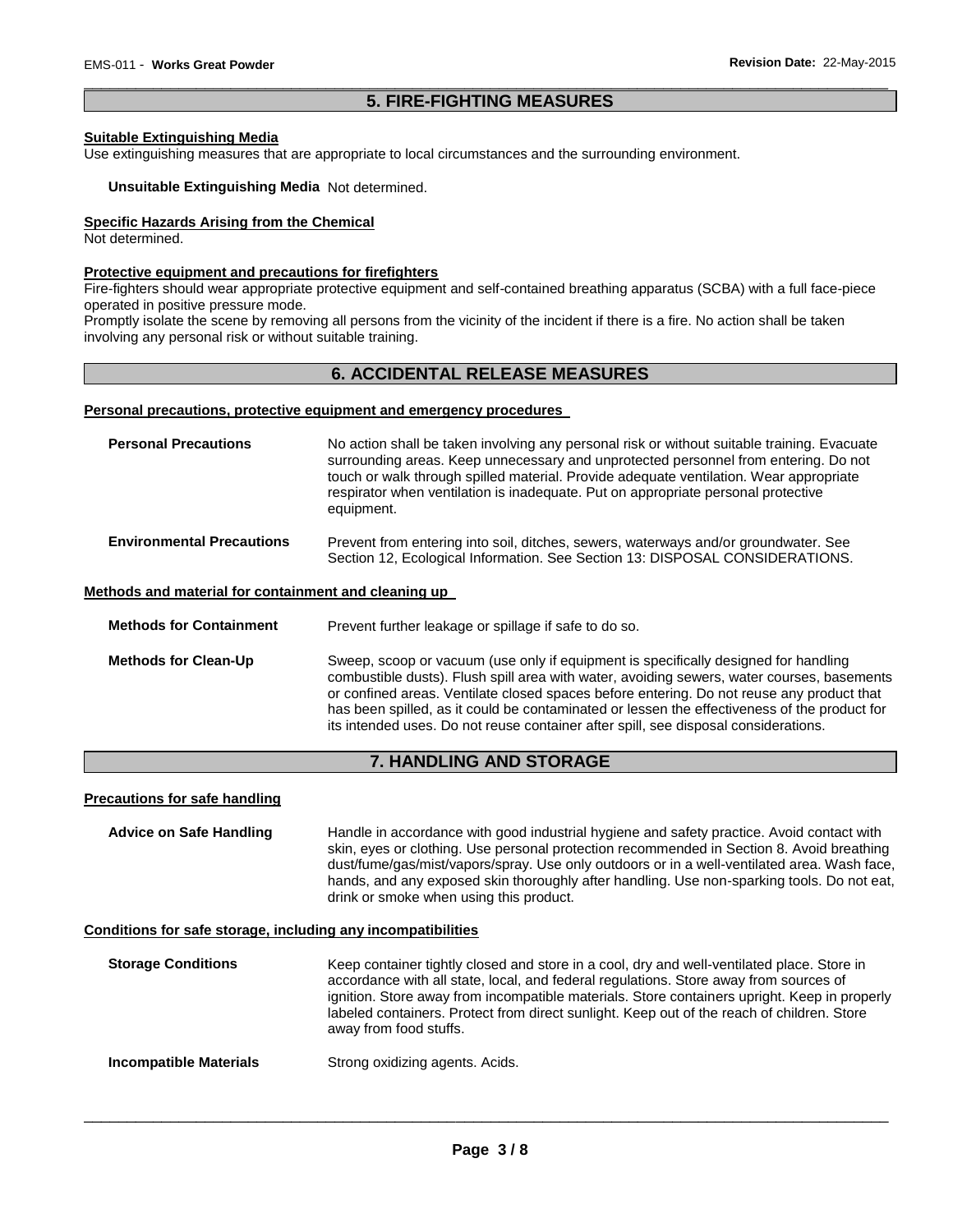# \_\_\_\_\_\_\_\_\_\_\_\_\_\_\_\_\_\_\_\_\_\_\_\_\_\_\_\_\_\_\_\_\_\_\_\_\_\_\_\_\_\_\_\_\_\_\_\_\_\_\_\_\_\_\_\_\_\_\_\_\_\_\_\_\_\_\_\_\_\_\_\_\_\_\_\_\_\_\_\_\_\_\_\_\_\_\_\_\_\_\_\_\_ **5. FIRE-FIGHTING MEASURES**

## **Suitable Extinguishing Media**

Use extinguishing measures that are appropriate to local circumstances and the surrounding environment.

#### **Unsuitable Extinguishing Media** Not determined.

#### **Specific Hazards Arising from the Chemical**

Not determined.

#### **Protective equipment and precautions for firefighters**

Fire-fighters should wear appropriate protective equipment and self-contained breathing apparatus (SCBA) with a full face-piece operated in positive pressure mode.

Promptly isolate the scene by removing all persons from the vicinity of the incident if there is a fire. No action shall be taken involving any personal risk or without suitable training.

# **6. ACCIDENTAL RELEASE MEASURES**

#### **Personal precautions, protective equipment and emergency procedures**

| <b>Personal Precautions</b>                          | No action shall be taken involving any personal risk or without suitable training. Evacuate<br>surrounding areas. Keep unnecessary and unprotected personnel from entering. Do not<br>touch or walk through spilled material. Provide adequate ventilation. Wear appropriate<br>respirator when ventilation is inadequate. Put on appropriate personal protective<br>equipment. |
|------------------------------------------------------|---------------------------------------------------------------------------------------------------------------------------------------------------------------------------------------------------------------------------------------------------------------------------------------------------------------------------------------------------------------------------------|
| <b>Environmental Precautions</b>                     | Prevent from entering into soil, ditches, sewers, waterways and/or groundwater. See<br>Section 12, Ecological Information. See Section 13: DISPOSAL CONSIDERATIONS.                                                                                                                                                                                                             |
| Methods and material for containment and cleaning up |                                                                                                                                                                                                                                                                                                                                                                                 |
| <b>Methods for Containment</b>                       | Prevent further leakage or spillage if safe to do so.                                                                                                                                                                                                                                                                                                                           |
| <b>Methods for Clean-Up</b>                          | Sweep, scoop or vacuum (use only if equipment is specifically designed for handling<br>combustible dusts). Flush spill area with water, avoiding sewers, water courses, basements<br>or confined areas. Ventilate closed spaces before entering. Do not reuse any product that                                                                                                  |

# **7. HANDLING AND STORAGE**

has been spilled, as it could be contaminated or lessen the effectiveness of the product for

its intended uses. Do not reuse container after spill, see disposal considerations.

#### **Precautions for safe handling**

**Advice on Safe Handling** Handle in accordance with good industrial hygiene and safety practice. Avoid contact with skin, eyes or clothing. Use personal protection recommended in Section 8. Avoid breathing dust/fume/gas/mist/vapors/spray. Use only outdoors or in a well-ventilated area. Wash face, hands, and any exposed skin thoroughly after handling. Use non-sparking tools. Do not eat, drink or smoke when using this product.

#### **Conditions for safe storage, including any incompatibilities**

| <b>Storage Conditions</b> | Keep container tightly closed and store in a cool, dry and well-ventilated place. Store in<br>accordance with all state, local, and federal regulations. Store away from sources of<br>ignition. Store away from incompatible materials. Store containers upright. Keep in properly<br>labeled containers. Protect from direct sunlight. Keep out of the reach of children. Store<br>away from food stuffs. |
|---------------------------|-------------------------------------------------------------------------------------------------------------------------------------------------------------------------------------------------------------------------------------------------------------------------------------------------------------------------------------------------------------------------------------------------------------|
| Incompatible Materials    | Strong oxidizing agents. Acids.                                                                                                                                                                                                                                                                                                                                                                             |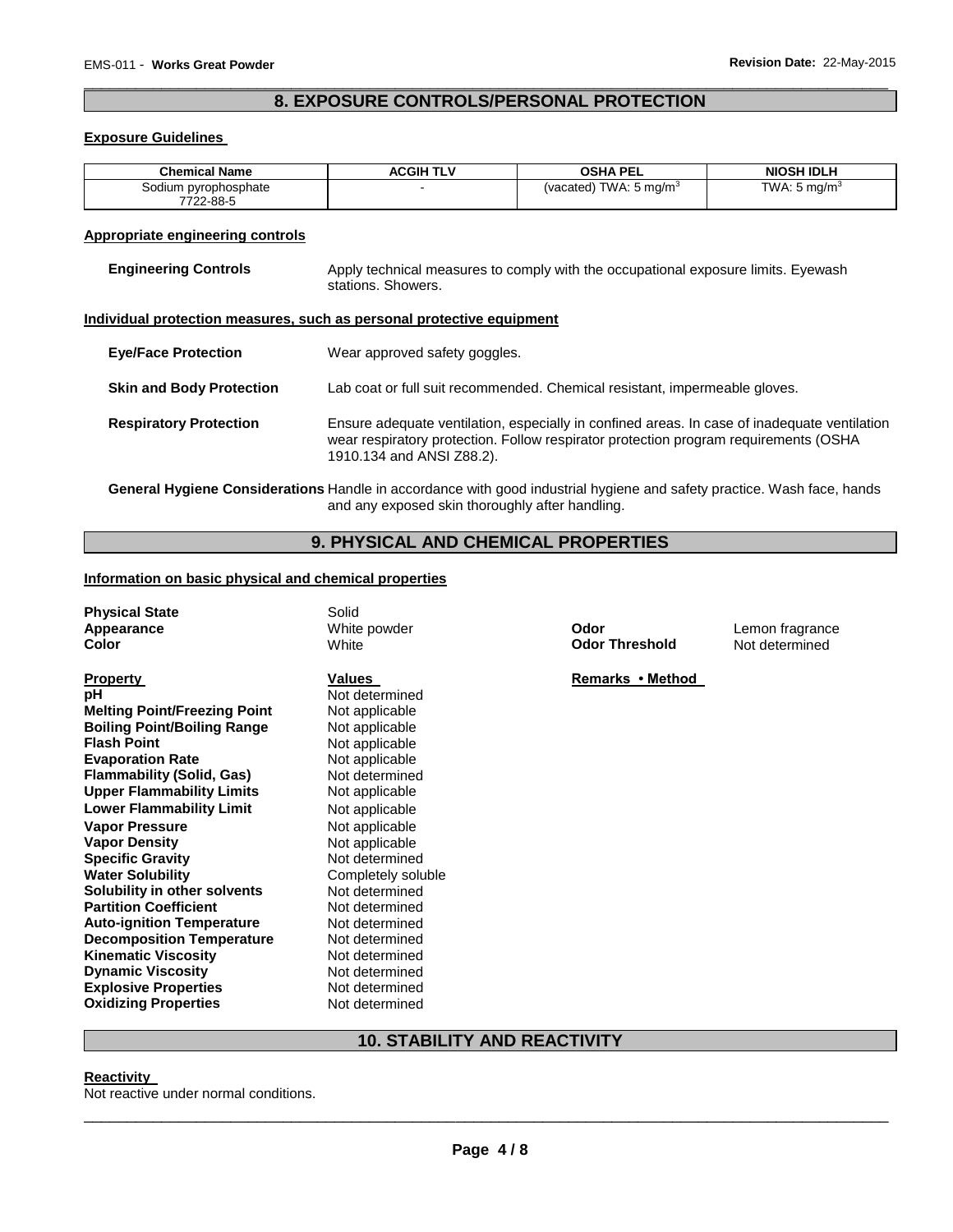# \_\_\_\_\_\_\_\_\_\_\_\_\_\_\_\_\_\_\_\_\_\_\_\_\_\_\_\_\_\_\_\_\_\_\_\_\_\_\_\_\_\_\_\_\_\_\_\_\_\_\_\_\_\_\_\_\_\_\_\_\_\_\_\_\_\_\_\_\_\_\_\_\_\_\_\_\_\_\_\_\_\_\_\_\_\_\_\_\_\_\_\_\_ **8. EXPOSURE CONTROLS/PERSONAL PROTECTION**

## **Exposure Guidelines**

| <b>Chemical Name</b>              | <b>ACGIH TLV</b> | <b>OSHA PEL</b>                   | <b>NIOSH IDLH</b>        |
|-----------------------------------|------------------|-----------------------------------|--------------------------|
| Sodium pyrophosphate<br>7722-88-5 |                  | (vacated) TWA: $5 \text{ ma/m}^3$ | TWA: 5 mg/m <sup>3</sup> |

# **Appropriate engineering controls**

| <b>Engineering Controls</b>     | Apply technical measures to comply with the occupational exposure limits. Eyewash<br>stations. Showers.                                                                                                           |
|---------------------------------|-------------------------------------------------------------------------------------------------------------------------------------------------------------------------------------------------------------------|
|                                 | Individual protection measures, such as personal protective equipment                                                                                                                                             |
| <b>Eye/Face Protection</b>      | Wear approved safety goggles.                                                                                                                                                                                     |
| <b>Skin and Body Protection</b> | Lab coat or full suit recommended. Chemical resistant, impermeable gloves.                                                                                                                                        |
| <b>Respiratory Protection</b>   | Ensure adequate ventilation, especially in confined areas. In case of inadequate ventilation<br>wear respiratory protection. Follow respirator protection program requirements (OSHA<br>1910.134 and ANSI Z88.2). |

**General Hygiene Considerations** Handle in accordance with good industrial hygiene and safety practice. Wash face, hands and any exposed skin thoroughly after handling.

# **9. PHYSICAL AND CHEMICAL PROPERTIES**

#### **Information on basic physical and chemical properties**

| <b>Physical State</b><br>Appearance<br>Color                                                                                                                                                                                                                                                                                                                                                                                                                                                                                                                                                                                          | Solid<br>White powder<br>White                                                                                                                                                                                                                                                                                                                                                     | Odor<br><b>Odor Threshold</b> | Lemon fragrance<br>Not determined |
|---------------------------------------------------------------------------------------------------------------------------------------------------------------------------------------------------------------------------------------------------------------------------------------------------------------------------------------------------------------------------------------------------------------------------------------------------------------------------------------------------------------------------------------------------------------------------------------------------------------------------------------|------------------------------------------------------------------------------------------------------------------------------------------------------------------------------------------------------------------------------------------------------------------------------------------------------------------------------------------------------------------------------------|-------------------------------|-----------------------------------|
| <b>Property</b><br>рH<br><b>Melting Point/Freezing Point</b><br><b>Boiling Point/Boiling Range</b><br><b>Flash Point</b><br><b>Evaporation Rate</b><br><b>Flammability (Solid, Gas)</b><br><b>Upper Flammability Limits</b><br><b>Lower Flammability Limit</b><br><b>Vapor Pressure</b><br><b>Vapor Density</b><br><b>Specific Gravity</b><br><b>Water Solubility</b><br>Solubility in other solvents<br><b>Partition Coefficient</b><br><b>Auto-ignition Temperature</b><br><b>Decomposition Temperature</b><br><b>Kinematic Viscosity</b><br><b>Dynamic Viscosity</b><br><b>Explosive Properties</b><br><b>Oxidizing Properties</b> | Values<br>Not determined<br>Not applicable<br>Not applicable<br>Not applicable<br>Not applicable<br>Not determined<br>Not applicable<br>Not applicable<br>Not applicable<br>Not applicable<br>Not determined<br>Completely soluble<br>Not determined<br>Not determined<br>Not determined<br>Not determined<br>Not determined<br>Not determined<br>Not determined<br>Not determined | Remarks • Method              |                                   |

# **10. STABILITY AND REACTIVITY**

# **Reactivity**

Not reactive under normal conditions.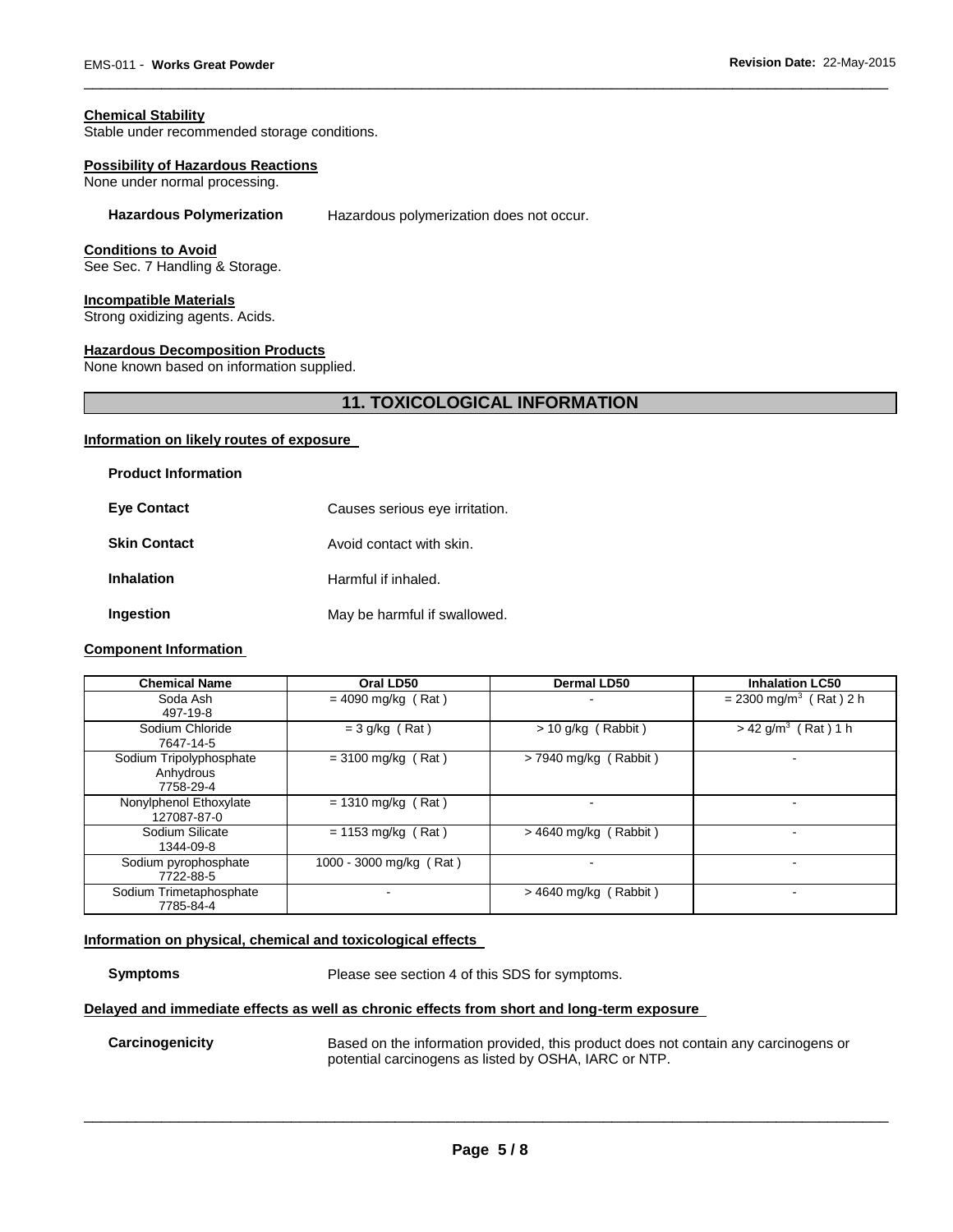## **Chemical Stability**

Stable under recommended storage conditions.

#### **Possibility of Hazardous Reactions**

None under normal processing.

#### **Hazardous Polymerization** Hazardous polymerization does not occur.

#### **Conditions to Avoid**

See Sec. 7 Handling & Storage.

#### **Incompatible Materials**

Strong oxidizing agents. Acids.

# **Hazardous Decomposition Products**

None known based on information supplied.

# **11. TOXICOLOGICAL INFORMATION**

\_\_\_\_\_\_\_\_\_\_\_\_\_\_\_\_\_\_\_\_\_\_\_\_\_\_\_\_\_\_\_\_\_\_\_\_\_\_\_\_\_\_\_\_\_\_\_\_\_\_\_\_\_\_\_\_\_\_\_\_\_\_\_\_\_\_\_\_\_\_\_\_\_\_\_\_\_\_\_\_\_\_\_\_\_\_\_\_\_\_\_\_\_

#### **Information on likely routes of exposure**

| <b>Product Information</b> |                                |
|----------------------------|--------------------------------|
| <b>Eve Contact</b>         | Causes serious eye irritation. |
| <b>Skin Contact</b>        | Avoid contact with skin.       |
| <b>Inhalation</b>          | Harmful if inhaled.            |
| Ingestion                  | May be harmful if swallowed.   |

# **Component Information**

| <b>Chemical Name</b>                              | Oral LD50               | <b>Dermal LD50</b>      | <b>Inhalation LC50</b>               |
|---------------------------------------------------|-------------------------|-------------------------|--------------------------------------|
| Soda Ash<br>497-19-8                              | $=$ 4090 mg/kg (Rat)    |                         | $= 2300$ mg/m <sup>3</sup> (Rat) 2 h |
| Sodium Chloride<br>7647-14-5                      | $= 3$ g/kg (Rat)        | $> 10$ g/kg (Rabbit)    | $> 42$ g/m <sup>3</sup> (Rat) 1 h    |
| Sodium Tripolyphosphate<br>Anhydrous<br>7758-29-4 | $= 3100$ mg/kg (Rat)    | $>$ 7940 mg/kg (Rabbit) |                                      |
| Nonylphenol Ethoxylate<br>127087-87-0             | $= 1310$ mg/kg (Rat)    |                         | $\overline{\phantom{a}}$             |
| Sodium Silicate<br>1344-09-8                      | $= 1153$ mg/kg (Rat)    | $>$ 4640 mg/kg (Rabbit) |                                      |
| Sodium pyrophosphate<br>7722-88-5                 | 1000 - 3000 mg/kg (Rat) |                         | -                                    |
| Sodium Trimetaphosphate<br>7785-84-4              |                         | $>$ 4640 mg/kg (Rabbit) | ۰                                    |

#### **Information on physical, chemical and toxicological effects**

**Symptoms** Please see section 4 of this SDS for symptoms.

# **Delayed and immediate effects as well as chronic effects from short and long-term exposure**

**Carcinogenicity** Based on the information provided, this product does not contain any carcinogens or potential carcinogens as listed by OSHA, IARC or NTP.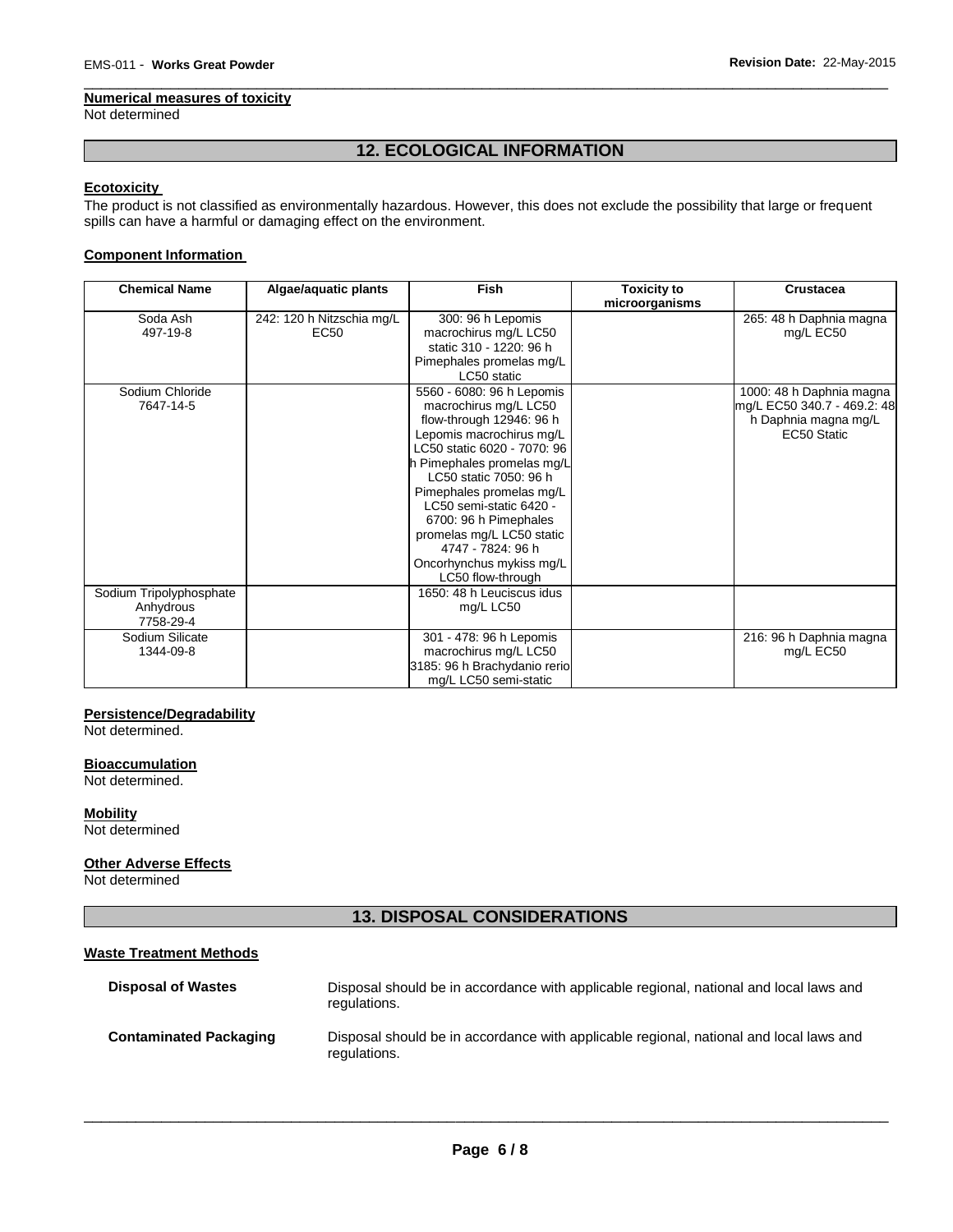## **Numerical measures of toxicity**

Not determined

# **12. ECOLOGICAL INFORMATION**

\_\_\_\_\_\_\_\_\_\_\_\_\_\_\_\_\_\_\_\_\_\_\_\_\_\_\_\_\_\_\_\_\_\_\_\_\_\_\_\_\_\_\_\_\_\_\_\_\_\_\_\_\_\_\_\_\_\_\_\_\_\_\_\_\_\_\_\_\_\_\_\_\_\_\_\_\_\_\_\_\_\_\_\_\_\_\_\_\_\_\_\_\_

# **Ecotoxicity**

The product is not classified as environmentally hazardous. However, this does not exclude the possibility that large or frequent spills can have a harmful or damaging effect on the environment.

# **Component Information**

| <b>Chemical Name</b>                              | Algae/aquatic plants                          | <b>Fish</b>                                                                                                                                                                                                                                                                                                                                                                          | <b>Toxicity to</b><br>microorganisms | <b>Crustacea</b>                                                                               |
|---------------------------------------------------|-----------------------------------------------|--------------------------------------------------------------------------------------------------------------------------------------------------------------------------------------------------------------------------------------------------------------------------------------------------------------------------------------------------------------------------------------|--------------------------------------|------------------------------------------------------------------------------------------------|
| Soda Ash<br>497-19-8                              | 242: 120 h Nitzschia mg/L<br>EC <sub>50</sub> | 300: 96 h Lepomis<br>macrochirus mg/L LC50<br>static 310 - 1220: 96 h<br>Pimephales promelas mg/L<br>LC50 static                                                                                                                                                                                                                                                                     |                                      | 265: 48 h Daphnia magna<br>mg/L EC50                                                           |
| Sodium Chloride<br>7647-14-5                      |                                               | 5560 - 6080: 96 h Lepomis<br>macrochirus mg/L LC50<br>flow-through 12946: 96 h<br>Lepomis macrochirus mg/L<br>LC50 static 6020 - 7070: 96<br>h Pimephales promelas mg/L<br>LC50 static 7050: 96 h<br>Pimephales promelas mg/L<br>LC50 semi-static 6420 -<br>6700: 96 h Pimephales<br>promelas mg/L LC50 static<br>4747 - 7824: 96 h<br>Oncorhynchus mykiss mg/L<br>LC50 flow-through |                                      | 1000: 48 h Daphnia magna<br>mg/L EC50 340.7 - 469.2: 48<br>h Daphnia magna mg/L<br>EC50 Static |
| Sodium Tripolyphosphate<br>Anhydrous<br>7758-29-4 |                                               | 1650: 48 h Leuciscus idus<br>mg/L LC50                                                                                                                                                                                                                                                                                                                                               |                                      |                                                                                                |
| Sodium Silicate<br>1344-09-8                      |                                               | 301 - 478: 96 h Lepomis<br>macrochirus mg/L LC50<br>3185: 96 h Brachydanio rerio<br>mg/L LC50 semi-static                                                                                                                                                                                                                                                                            |                                      | 216: 96 h Daphnia magna<br>mg/L EC50                                                           |

#### **Persistence/Degradability**

Not determined.

#### **Bioaccumulation**

Not determined.

# **Mobility**

Not determined

# **Other Adverse Effects**

Not determined

# **13. DISPOSAL CONSIDERATIONS**

# **Waste Treatment Methods**

| <b>Disposal of Wastes</b>     | Disposal should be in accordance with applicable regional, national and local laws and<br>regulations. |
|-------------------------------|--------------------------------------------------------------------------------------------------------|
| <b>Contaminated Packaging</b> | Disposal should be in accordance with applicable regional, national and local laws and<br>regulations. |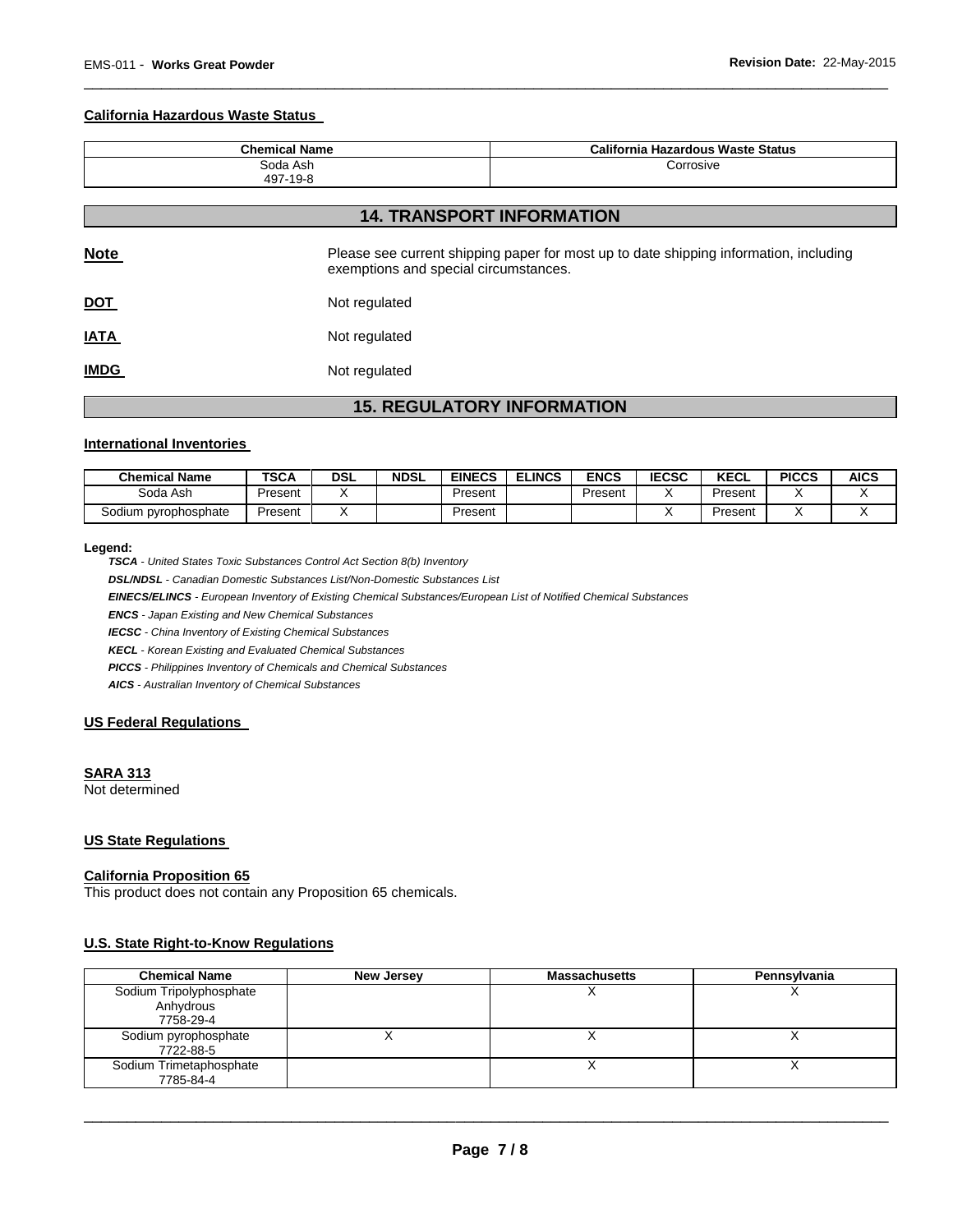## **California Hazardous Waste Status**

| <b>Chemical Name</b> | California Hazardous Waste Status |  |  |
|----------------------|-----------------------------------|--|--|
| Soda Ash             | Corrosive                         |  |  |
| 497-19-8             |                                   |  |  |

\_\_\_\_\_\_\_\_\_\_\_\_\_\_\_\_\_\_\_\_\_\_\_\_\_\_\_\_\_\_\_\_\_\_\_\_\_\_\_\_\_\_\_\_\_\_\_\_\_\_\_\_\_\_\_\_\_\_\_\_\_\_\_\_\_\_\_\_\_\_\_\_\_\_\_\_\_\_\_\_\_\_\_\_\_\_\_\_\_\_\_\_\_

# **14. TRANSPORT INFORMATION**

| <b>Note</b> | Please see current shipping paper for most up to date shipping information, including<br>exemptions and special circumstances. |
|-------------|--------------------------------------------------------------------------------------------------------------------------------|
| <u>DOT</u>  | Not regulated                                                                                                                  |
| <u>IATA</u> | Not regulated                                                                                                                  |
| <b>IMDG</b> | Not regulated                                                                                                                  |

# **15. REGULATORY INFORMATION**

#### **International Inventories**

| <b>Chemical Name</b> | <b>TSCA</b> | DSL | <b>NDSL</b> | <b>EINECS</b> | <b>ELINCS</b><br>- | ENCS    | <b>IECSC</b> | <b>KECL</b> | <b>PICCS</b> | <b>AICS</b> |
|----------------------|-------------|-----|-------------|---------------|--------------------|---------|--------------|-------------|--------------|-------------|
| Soda Ash             | Present     |     |             | Present       |                    | Present |              | Present     |              |             |
| Sodium pyrophosphate | Present     |     |             | Present       |                    |         |              | Present     |              |             |

#### **Legend:**

*TSCA - United States Toxic Substances Control Act Section 8(b) Inventory* 

*DSL/NDSL - Canadian Domestic Substances List/Non-Domestic Substances List* 

*EINECS/ELINCS - European Inventory of Existing Chemical Substances/European List of Notified Chemical Substances* 

*ENCS - Japan Existing and New Chemical Substances* 

*IECSC - China Inventory of Existing Chemical Substances* 

*KECL - Korean Existing and Evaluated Chemical Substances* 

*PICCS - Philippines Inventory of Chemicals and Chemical Substances* 

*AICS - Australian Inventory of Chemical Substances* 

#### **US Federal Regulations**

# **SARA 313**

Not determined

## **US State Regulations**

#### **California Proposition 65**

This product does not contain any Proposition 65 chemicals.

#### **U.S. State Right-to-Know Regulations**

| <b>Chemical Name</b>                              | <b>New Jersey</b> | <b>Massachusetts</b> | Pennsylvania |
|---------------------------------------------------|-------------------|----------------------|--------------|
| Sodium Tripolyphosphate<br>Anhydrous<br>7758-29-4 |                   | $\lambda$            |              |
| Sodium pyrophosphate<br>7722-88-5                 |                   | $\lambda$            |              |
| Sodium Trimetaphosphate<br>7785-84-4              |                   |                      |              |